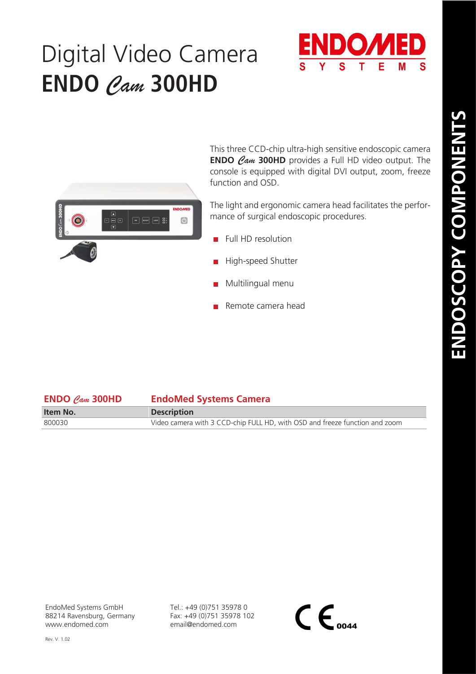## Digital Video Camera **ENDO** *Cam* **300HD**





This three CCD-chip ultra-high sensitive endoscopic camera **ENDO** *Cam* **300HD** provides a Full HD video output. The console is equipped with digital DVI output, zoom, freeze function and OSD.

The light and ergonomic camera head facilitates the performance of surgical endoscopic procedures.

- $\blacksquare$  Full HD resolution
- High-speed Shutter
- Multilingual menu
- Remote camera head

| $ENDO$ Cam 300HD | <b>EndoMed Systems Camera</b>                                               |
|------------------|-----------------------------------------------------------------------------|
| Item No.         | <b>Description</b>                                                          |
| 800030           | Video camera with 3 CCD-chip FULL HD, with OSD and freeze function and zoom |
|                  |                                                                             |

EndoMed Systems GmbH 88214 Ravensburg, Germany www.endomed.com

Tel.: +49 (0)751 35978 0 Fax: +49 (0)751 35978 102 email@endomed.com

 $\mathsf{CE}_{\scriptscriptstyle o$ 044